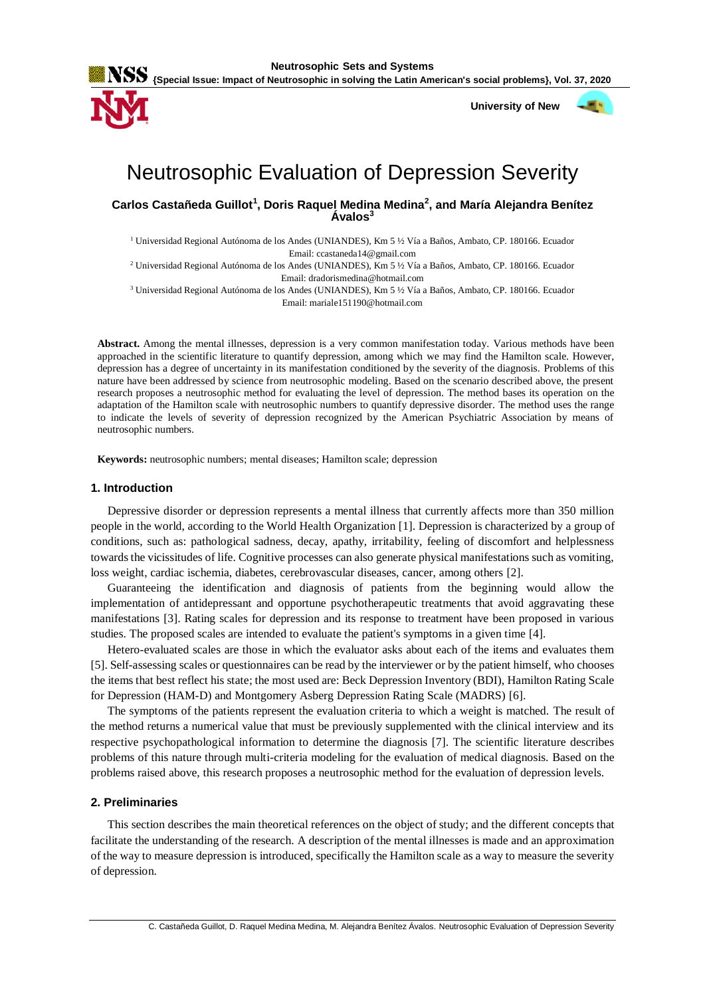

 **University of New** 



# Neutrosophic Evaluation of Depression Severity

**Carlos Castañeda Guillot<sup>1</sup> , Doris Raquel Medina Medina<sup>2</sup> , and María Alejandra Benítez Ávalos<sup>3</sup>**

<sup>1</sup> Universidad Regional Autónoma de los Andes (UNIANDES), Km 5 ½ Vía a Baños, Ambato, CP. 180166. Ecuador Email: ccastaneda14@gmail.com

<sup>2</sup> Universidad Regional Autónoma de los Andes (UNIANDES), Km 5 ½ Vía a Baños, Ambato, CP. 180166. Ecuador Email: dradorismedina@hotmail.com

<sup>3</sup> Universidad Regional Autónoma de los Andes (UNIANDES), Km 5 ½ Vía a Baños, Ambato, CP. 180166. Ecuador Email: mariale151190@hotmail.com

**Abstract.** Among the mental illnesses, depression is a very common manifestation today. Various methods have been approached in the scientific literature to quantify depression, among which we may find the Hamilton scale. However, depression has a degree of uncertainty in its manifestation conditioned by the severity of the diagnosis. Problems of this nature have been addressed by science from neutrosophic modeling. Based on the scenario described above, the present research proposes a neutrosophic method for evaluating the level of depression. The method bases its operation on the adaptation of the Hamilton scale with neutrosophic numbers to quantify depressive disorder. The method uses the range to indicate the levels of severity of depression recognized by the American Psychiatric Association by means of neutrosophic numbers.

**Keywords:** neutrosophic numbers; mental diseases; Hamilton scale; depression

## **1. Introduction**

Depressive disorder or depression represents a mental illness that currently affects more than 350 million people in the world, according to the World Health Organization [\[1\]](#page-6-0). Depression is characterized by a group of conditions, such as: pathological sadness, decay, apathy, irritability, feeling of discomfort and helplessness towards the vicissitudes of life. Cognitive processes can also generate physical manifestations such as vomiting, loss weight, cardiac ischemia, diabetes, cerebrovascular diseases, cancer, among others [\[2\]](#page-6-1).

Guaranteeing the identification and diagnosis of patients from the beginning would allow the implementation of antidepressant and opportune psychotherapeutic treatments that avoid aggravating these manifestations [\[3\]](#page-6-2). Rating scales for depression and its response to treatment have been proposed in various studies. The proposed scales are intended to evaluate the patient's symptoms in a given time [\[4\]](#page-6-3).

Hetero-evaluated scales are those in which the evaluator asks about each of the items and evaluates them [\[5\]](#page-6-4). Self-assessing scales or questionnaires can be read by the interviewer or by the patient himself, who chooses the items that best reflect his state; the most used are: Beck Depression Inventory (BDI), Hamilton Rating Scale for Depression (HAM-D) and Montgomery Asberg Depression Rating Scale (MADRS) [\[6\]](#page-6-5).

The symptoms of the patients represent the evaluation criteria to which a weight is matched. The result of the method returns a numerical value that must be previously supplemented with the clinical interview and its respective psychopathological information to determine the diagnosis [\[7\]](#page-6-6). The scientific literature describes problems of this nature through multi-criteria modeling for the evaluation of medical diagnosis. Based on the problems raised above, this research proposes a neutrosophic method for the evaluation of depression levels.

# **2. Preliminaries**

This section describes the main theoretical references on the object of study; and the different concepts that facilitate the understanding of the research. A description of the mental illnesses is made and an approximation of the way to measure depression is introduced, specifically the Hamilton scale as a way to measure the severity of depression.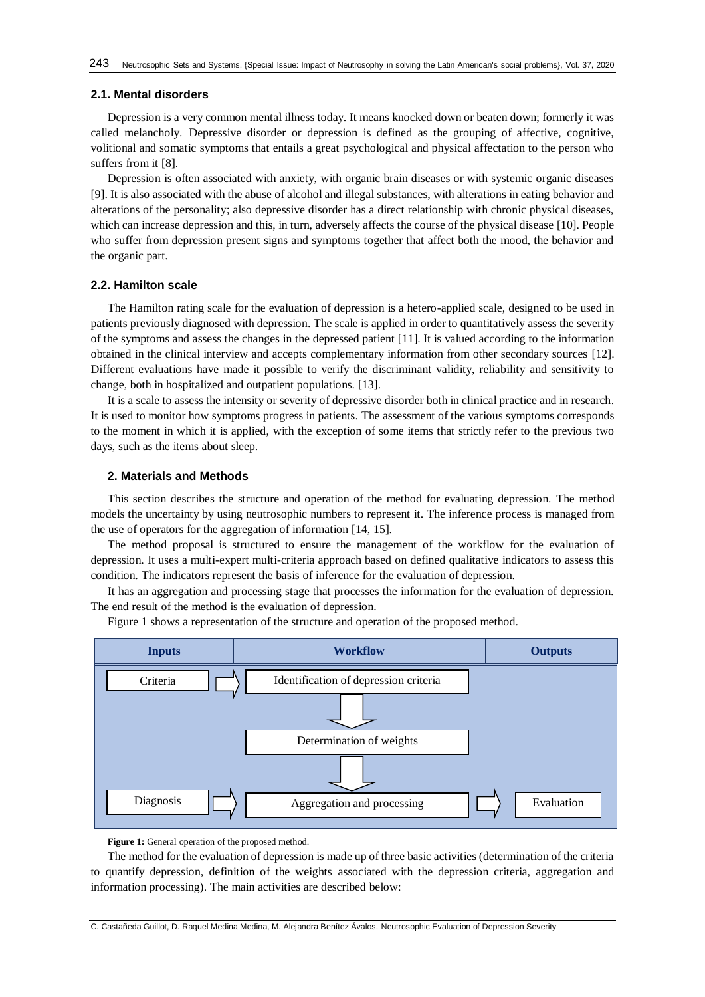#### **2.1. Mental disorders**

Depression is a very common mental illness today. It means knocked down or beaten down; formerly it was called melancholy. Depressive disorder or depression is defined as the grouping of affective, cognitive, volitional and somatic symptoms that entails a great psychological and physical affectation to the person who suffers from it [\[8\]](#page-6-7).

Depression is often associated with anxiety, with organic brain diseases or with systemic organic diseases [\[9\]](#page-7-0). It is also associated with the abuse of alcohol and illegal substances, with alterations in eating behavior and alterations of the personality; also depressive disorder has a direct relationship with chronic physical diseases, which can increase depression and this, in turn, adversely affects the course of the physical disease [\[10\]](#page-7-1). People who suffer from depression present signs and symptoms together that affect both the mood, the behavior and the organic part.

#### **2.2. Hamilton scale**

The Hamilton rating scale for the evaluation of depression is a hetero-applied scale, designed to be used in patients previously diagnosed with depression. The scale is applied in order to quantitatively assess the severity of the symptoms and assess the changes in the depressed patient [\[11\]](#page-7-2). It is valued according to the information obtained in the clinical interview and accepts complementary information from other secondary sources [\[12\]](#page-7-3). Different evaluations have made it possible to verify the discriminant validity, reliability and sensitivity to change, both in hospitalized and outpatient populations. [\[13\]](#page-7-4).

It is a scale to assess the intensity or severity of depressive disorder both in clinical practice and in research. It is used to monitor how symptoms progress in patients. The assessment of the various symptoms corresponds to the moment in which it is applied, with the exception of some items that strictly refer to the previous two days, such as the items about sleep.

### **2. Materials and Methods**

This section describes the structure and operation of the method for evaluating depression. The method models the uncertainty by using neutrosophic numbers to represent it. The inference process is managed from the use of operators for the aggregation of information [\[14,](#page-7-5) [15\]](#page-7-6).

The method proposal is structured to ensure the management of the workflow for the evaluation of depression. It uses a multi-expert multi-criteria approach based on defined qualitative indicators to assess this condition. The indicators represent the basis of inference for the evaluation of depression.

It has an aggregation and processing stage that processes the information for the evaluation of depression. The end result of the method is the evaluation of depression.



Figure 1 shows a representation of the structure and operation of the proposed method.

Figure 1: General operation of the proposed method.

The method for the evaluation of depression is made up of three basic activities (determination of the criteria to quantify depression, definition of the weights associated with the depression criteria, aggregation and information processing). The main activities are described below: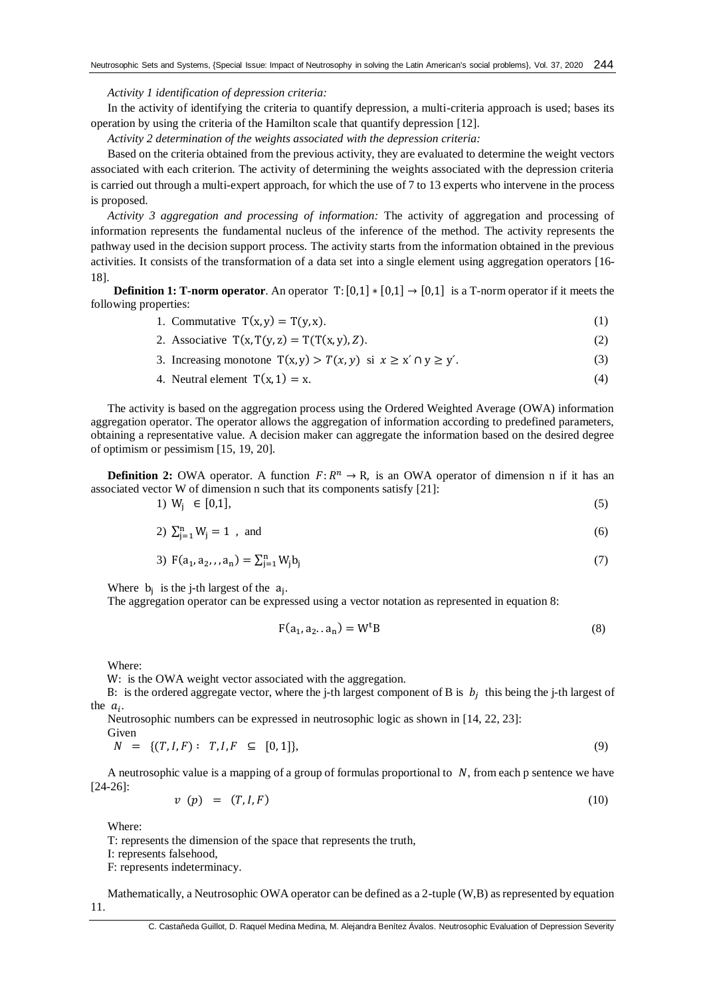*Activity 1 identification of depression criteria:*

In the activity of identifying the criteria to quantify depression, a multi-criteria approach is used; bases its operation by using the criteria of the Hamilton scale that quantify depression [\[12\]](#page-7-3).

*Activity 2 determination of the weights associated with the depression criteria:*

Based on the criteria obtained from the previous activity, they are evaluated to determine the weight vectors associated with each criterion. The activity of determining the weights associated with the depression criteria is carried out through a multi-expert approach, for which the use of 7 to 13 experts who intervene in the process is proposed.

*Activity 3 aggregation and processing of information:* The activity of aggregation and processing of information represents the fundamental nucleus of the inference of the method. The activity represents the pathway used in the decision support process. The activity starts from the information obtained in the previous activities. It consists of the transformation of a data set into a single element using aggregation operators [\[16-](#page-7-7) [18\]](#page-7-7).

**Definition 1: T-norm operator**. An operator  $T: [0,1] \times [0,1] \rightarrow [0,1]$  is a T-norm operator if it meets the following properties:

1. Commutative 
$$
T(x, y) = T(y, x)
$$
. (1)

2. Associative  $T(x, T(y, z) = T(T(x, y), Z)$ . (2)

3. Increasing monotone  $T(x, y) > T(x, y)$  si  $x \ge x' \cap y \ge y'$ . (3)

4. Neutral element  $T(x, 1) = x$ . (4)

The activity is based on the aggregation process using the Ordered Weighted Average (OWA) information aggregation operator. The operator allows the aggregation of information according to predefined parameters, obtaining a representative value. A decision maker can aggregate the information based on the desired degree of optimism or pessimism [\[15,](#page-7-6) [19,](#page-7-8) [20\]](#page-7-9).

**Definition 2:** OWA operator. A function  $F: R^n \to \mathbb{R}$ , is an OWA operator of dimension n if it has an associated vector W of dimension n such that its components satisfy [\[21\]](#page-7-10):<br>1) W.  $\in$  [0.1].

$$
1) W_j \in [0,1], \tag{5}
$$

2) 
$$
\sum_{j=1}^{n} W_j = 1
$$
, and (6)

3) 
$$
F(a_1, a_2, \ldots, a_n) = \sum_{j=1}^n W_j b_j
$$
 (7)

Where  $b_j$  is the j-th largest of the  $a_j$ .

The aggregation operator can be expressed using a vector notation as represented in equation 8:

$$
F(a_1, a_2 \dots a_n) = W^t B \tag{8}
$$

Where:

W: is the OWA weight vector associated with the aggregation.

B: is the ordered aggregate vector, where the j-th largest component of B is  $b_j$  this being the j-th largest of the  $a_i$ .

Neutrosophic numbers can be expressed in neutrosophic logic as shown in [\[14,](#page-7-5) [22,](#page-7-11) [23\]](#page-7-12): Given

$$
N = \{ (T, I, F) : T, I, F \subseteq [0, 1] \},
$$
\n(9)

A neutrosophic value is a mapping of a group of formulas proportional to  $N$ , from each p sentence we have [\[24-26\]](#page-7-13):

$$
v(p) = (T, I, F) \tag{10}
$$

Where:

T: represents the dimension of the space that represents the truth,

I: represents falsehood,

F: represents indeterminacy.

Mathematically, a Neutrosophic OWA operator can be defined as a 2-tuple (W,B) as represented by equation 11.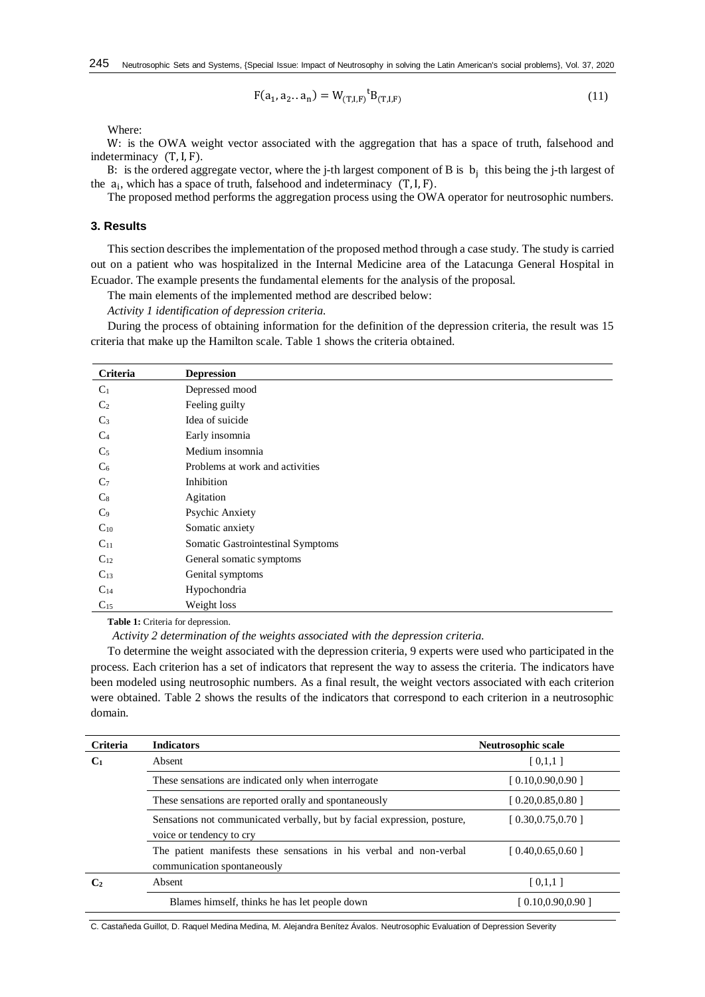$$
F(a_1, a_2... a_n) = W_{(T,I,F)}^{t} B_{(T,I,F)}
$$
\n(11)

Where:

W: is the OWA weight vector associated with the aggregation that has a space of truth, falsehood and indeterminacy (T,I, F).

B: is the ordered aggregate vector, where the j-th largest component of B is  $b_j$  this being the j-th largest of the  $a_i$ , which has a space of truth, falsehood and indeterminacy  $(T, I, F)$ .

The proposed method performs the aggregation process using the OWA operator for neutrosophic numbers.

# **3. Results**

This section describes the implementation of the proposed method through a case study. The study is carried out on a patient who was hospitalized in the Internal Medicine area of the Latacunga General Hospital in Ecuador. The example presents the fundamental elements for the analysis of the proposal.

The main elements of the implemented method are described below:

*Activity 1 identification of depression criteria.*

During the process of obtaining information for the definition of the depression criteria, the result was 15 criteria that make up the Hamilton scale. Table 1 shows the criteria obtained.

| Criteria       | <b>Depression</b>                 |
|----------------|-----------------------------------|
| $C_1$          | Depressed mood                    |
| C <sub>2</sub> | Feeling guilty                    |
| $C_3$          | Idea of suicide                   |
| $C_4$          | Early insomnia                    |
| C <sub>5</sub> | Medium insomnia                   |
| $C_6$          | Problems at work and activities   |
| C <sub>7</sub> | Inhibition                        |
| C <sub>8</sub> | Agitation                         |
| C <sub>9</sub> | Psychic Anxiety                   |
| $C_{10}$       | Somatic anxiety                   |
| $C_{11}$       | Somatic Gastrointestinal Symptoms |
| $C_{12}$       | General somatic symptoms          |
| $C_{13}$       | Genital symptoms                  |
| $C_{14}$       | Hypochondria                      |
| $C_{15}$       | Weight loss                       |

**Table 1:** Criteria for depression.

*Activity 2 determination of the weights associated with the depression criteria.*

To determine the weight associated with the depression criteria, 9 experts were used who participated in the process. Each criterion has a set of indicators that represent the way to assess the criteria. The indicators have been modeled using neutrosophic numbers. As a final result, the weight vectors associated with each criterion were obtained. Table 2 shows the results of the indicators that correspond to each criterion in a neutrosophic domain.

| <b>Criteria</b> | <b>Indicators</b>                                                                                    | <b>Neutrosophic scale</b> |
|-----------------|------------------------------------------------------------------------------------------------------|---------------------------|
| C <sub>1</sub>  | Absent                                                                                               | [0,1,1]                   |
|                 | These sensations are indicated only when interrogate                                                 | [0.10, 0.90, 0.90]        |
|                 | These sensations are reported orally and spontaneously                                               | [0.20, 0.85, 0.80]        |
|                 | Sensations not communicated verbally, but by facial expression, posture,<br>voice or tendency to cry | [0.30, 0.75, 0.70]        |
|                 | The patient manifests these sensations in his verbal and non-verbal<br>communication spontaneously   | [0.40, 0.65, 0.60]        |
| C2              | Absent                                                                                               | [0,1,1]                   |
|                 | Blames himself, thinks he has let people down                                                        | [0.10, 0.90, 0.90]        |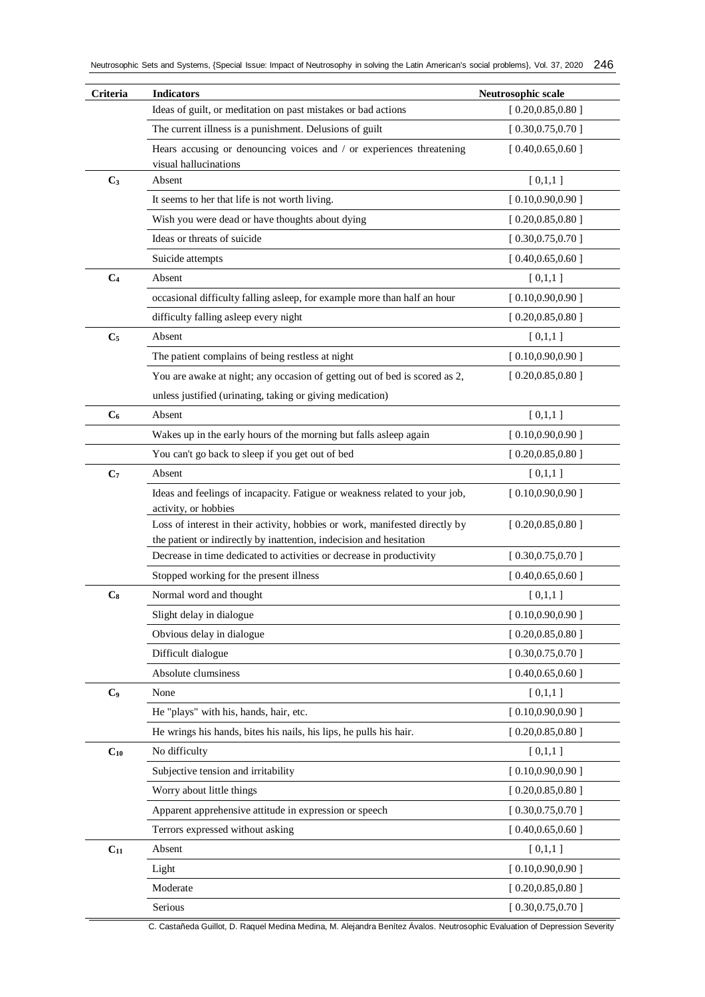| Criteria       | <b>Indicators</b>                                                                             | Neutrosophic scale |
|----------------|-----------------------------------------------------------------------------------------------|--------------------|
|                | Ideas of guilt, or meditation on past mistakes or bad actions                                 | [0.20, 0.85, 0.80] |
|                | The current illness is a punishment. Delusions of guilt                                       | [0.30, 0.75, 0.70] |
|                | Hears accusing or denouncing voices and / or experiences threatening<br>visual hallucinations | [0.40, 0.65, 0.60] |
| C <sub>3</sub> | Absent                                                                                        | [0,1,1]            |
|                | It seems to her that life is not worth living.                                                | [0.10, 0.90, 0.90] |
|                | Wish you were dead or have thoughts about dying                                               | [0.20, 0.85, 0.80] |
|                | Ideas or threats of suicide                                                                   | [0.30, 0.75, 0.70] |
|                | Suicide attempts                                                                              | [0.40, 0.65, 0.60] |
| C <sub>4</sub> | Absent                                                                                        | [0,1,1]            |
|                | occasional difficulty falling asleep, for example more than half an hour                      | [0.10, 0.90, 0.90] |
|                | difficulty falling asleep every night                                                         | [0.20, 0.85, 0.80] |
| C <sub>5</sub> | Absent                                                                                        | [0,1,1]            |
|                | The patient complains of being restless at night                                              | [0.10, 0.90, 0.90] |
|                | You are awake at night; any occasion of getting out of bed is scored as 2,                    | [0.20, 0.85, 0.80] |
|                | unless justified (urinating, taking or giving medication)                                     |                    |
| C <sub>6</sub> | Absent                                                                                        | [0,1,1]            |
|                | Wakes up in the early hours of the morning but falls asleep again                             | [0.10, 0.90, 0.90] |
|                | You can't go back to sleep if you get out of bed                                              | [0.20, 0.85, 0.80] |
| C <sub>7</sub> | Absent                                                                                        | [0,1,1]            |
|                | Ideas and feelings of incapacity. Fatigue or weakness related to your job,                    | [0.10, 0.90, 0.90] |
|                | activity, or hobbies                                                                          |                    |
|                | Loss of interest in their activity, hobbies or work, manifested directly by                   | [0.20, 0.85, 0.80] |
|                | the patient or indirectly by inattention, indecision and hesitation                           |                    |
|                | Decrease in time dedicated to activities or decrease in productivity                          | [0.30, 0.75, 0.70] |
|                | Stopped working for the present illness                                                       | [0.40, 0.65, 0.60] |
| C <sub>8</sub> | Normal word and thought                                                                       | [0,1,1]            |
|                | Slight delay in dialogue                                                                      | [0.10, 0.90, 0.90] |
|                | Obvious delay in dialogue                                                                     | [0.20, 0.85, 0.80] |
|                | Difficult dialogue                                                                            | [0.30, 0.75, 0.70] |
|                | Absolute clumsiness                                                                           | [0.40, 0.65, 0.60] |
| C <sub>9</sub> | None                                                                                          | [0,1,1]            |
|                | He "plays" with his, hands, hair, etc.                                                        | [0.10, 0.90, 0.90] |
|                | He wrings his hands, bites his nails, his lips, he pulls his hair.                            | [0.20, 0.85, 0.80] |
| $C_{10}$       | No difficulty                                                                                 | [0,1,1]            |
|                | Subjective tension and irritability                                                           | [0.10, 0.90, 0.90] |
|                | Worry about little things                                                                     | [0.20, 0.85, 0.80] |
|                | Apparent apprehensive attitude in expression or speech                                        | [0.30, 0.75, 0.70] |
|                | Terrors expressed without asking                                                              | [0.40, 0.65, 0.60] |
| $C_{11}$       | Absent                                                                                        | [0,1,1]            |
|                | Light                                                                                         | [0.10, 0.90, 0.90] |
|                | Moderate                                                                                      | [0.20, 0.85, 0.80] |
|                | Serious                                                                                       | [0.30, 0.75, 0.70] |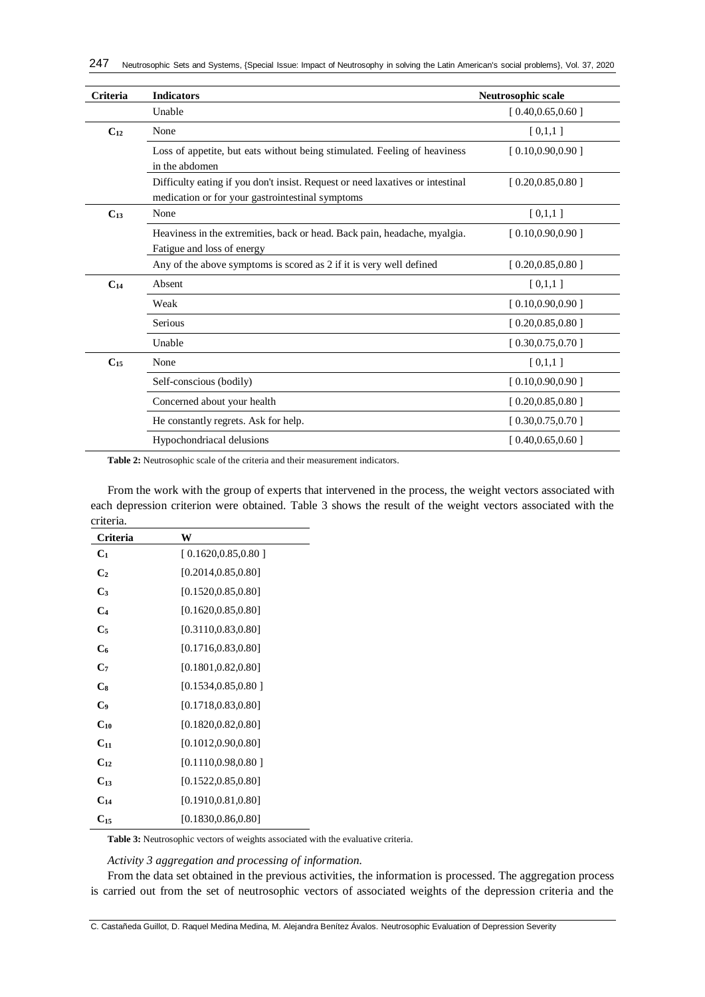| Criteria | <b>Indicators</b>                                                                                                                  | Neutrosophic scale |
|----------|------------------------------------------------------------------------------------------------------------------------------------|--------------------|
|          | Unable                                                                                                                             | [0.40, 0.65, 0.60] |
| $C_{12}$ | None                                                                                                                               | [0,1,1]            |
|          | Loss of appetite, but eats without being stimulated. Feeling of heaviness<br>in the abdomen                                        | [0.10, 0.90, 0.90] |
|          | Difficulty eating if you don't insist. Request or need laxatives or intestinal<br>medication or for your gastrointestinal symptoms | [0.20, 0.85, 0.80] |
| $C_{13}$ | None                                                                                                                               | [0,1,1]            |
|          | Heaviness in the extremities, back or head. Back pain, headache, myalgia.<br>Fatigue and loss of energy                            | [0.10, 0.90, 0.90] |
|          | Any of the above symptoms is scored as 2 if it is very well defined                                                                | [0.20, 0.85, 0.80] |
| $C_{14}$ | Absent                                                                                                                             | [0,1,1]            |
|          | Weak                                                                                                                               | [0.10, 0.90, 0.90] |
|          | Serious                                                                                                                            | [0.20, 0.85, 0.80] |
|          | Unable                                                                                                                             | [0.30, 0.75, 0.70] |
| $C_{15}$ | None                                                                                                                               | [0,1,1]            |
|          | Self-conscious (bodily)                                                                                                            | [0.10, 0.90, 0.90] |
|          | Concerned about your health                                                                                                        | [0.20, 0.85, 0.80] |
|          | He constantly regrets. Ask for help.                                                                                               | [0.30, 0.75, 0.70] |
|          | Hypochondriacal delusions                                                                                                          | [0.40, 0.65, 0.60] |

**Table 2:** Neutrosophic scale of the criteria and their measurement indicators.

From the work with the group of experts that intervened in the process, the weight vectors associated with each depression criterion were obtained. Table 3 shows the result of the weight vectors associated with the criteria.

| Criteria          | w                    |
|-------------------|----------------------|
| Cı                | [0.1620, 0.85, 0.80] |
| C2                | [0.2014,0.85,0.80]   |
| Cз                | [0.1520,0.85,0.80]   |
| Cа                | [0.1620, 0.85, 0.80] |
| C,                | [0.3110, 0.83, 0.80] |
| C6                | [0.1716,0.83,0.80]   |
| C7                | [0.1801,0.82,0.80]   |
| Сs                | [0.1534,0.85,0.80]   |
| C9                | [0.1718,0.83,0.80]   |
| $\mathbf{C}_{10}$ | [0.1820,0.82,0.80]   |
| $\rm C_{11}$      | [0.1012,0.90,0.80]   |
| $C_{12}$          | [0.1110, 0.98, 0.80] |
| $C_{13}$          | [0.1522, 0.85, 0.80] |
| $\rm C_{14}$      | [0.1910,0.81,0.80]   |
| $\mathrm{C}_{15}$ | [0.1830,0.86,0.80]   |

**Table 3:** Neutrosophic vectors of weights associated with the evaluative criteria.

*Activity 3 aggregation and processing of information.*

From the data set obtained in the previous activities, the information is processed. The aggregation process is carried out from the set of neutrosophic vectors of associated weights of the depression criteria and the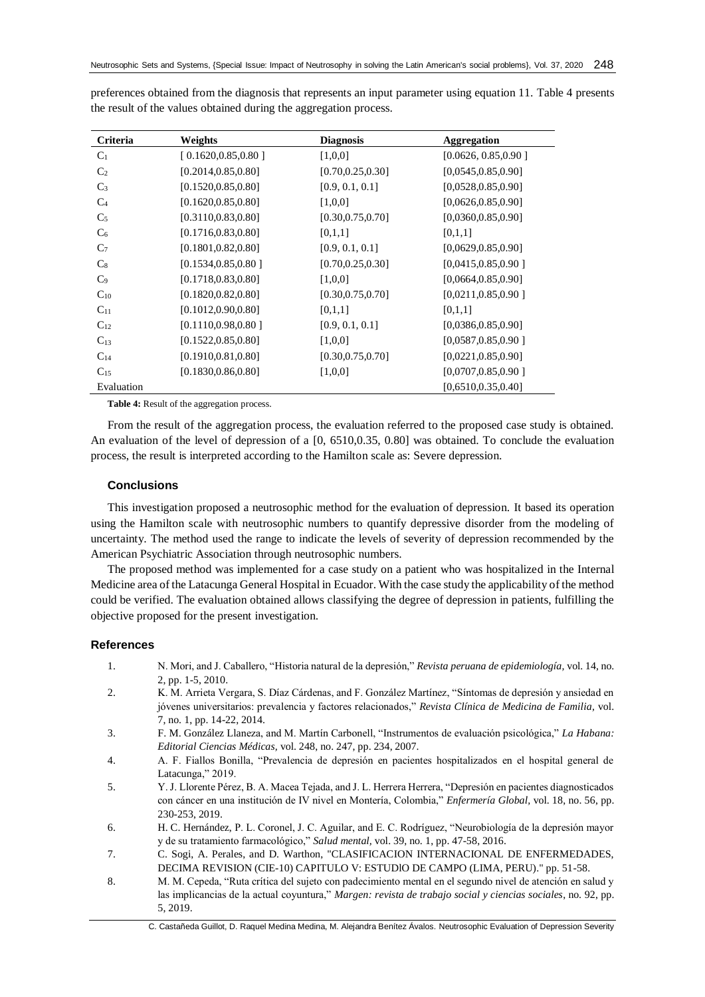| Criteria       | Weights              | <b>Diagnosis</b>   | <b>Aggregation</b>   |
|----------------|----------------------|--------------------|----------------------|
| $C_1$          | [0.1620, 0.85, 0.80] | [1,0,0]            | [0.0626, 0.85, 0.90] |
| C <sub>2</sub> | [0.2014, 0.85, 0.80] | [0.70, 0.25, 0.30] | [0,0545,0.85,0.90]   |
| $C_3$          | [0.1520, 0.85, 0.80] | [0.9, 0.1, 0.1]    | [0,0528,0.85,0.90]   |
| $C_4$          | [0.1620, 0.85, 0.80] | [1,0,0]            | [0,0626,0.85,0.90]   |
| C <sub>5</sub> | [0.3110, 0.83, 0.80] | [0.30, 0.75, 0.70] | [0,0360,0.85,0.90]   |
| $C_6$          | [0.1716, 0.83, 0.80] | [0,1,1]            | [0,1,1]              |
| C <sub>7</sub> | [0.1801, 0.82, 0.80] | [0.9, 0.1, 0.1]    | [0,0629,0.85,0.90]   |
| C <sub>8</sub> | [0.1534, 0.85, 0.80] | [0.70, 0.25, 0.30] | [0,0415,0.85,0.90]   |
| C <sub>9</sub> | [0.1718, 0.83, 0.80] | [1,0,0]            | [0,0664,0.85,0.90]   |
| $C_{10}$       | [0.1820, 0.82, 0.80] | [0.30, 0.75, 0.70] | [0,0211,0.85,0.90]   |
| $C_{11}$       | [0.1012, 0.90, 0.80] | [0,1,1]            | [0,1,1]              |
| $C_{12}$       | [0.1110, 0.98, 0.80] | [0.9, 0.1, 0.1]    | [0,0386,0.85,0.90]   |
| $C_{13}$       | [0.1522, 0.85, 0.80] | [1,0,0]            | [0,0587,0.85,0.90]   |
| $C_{14}$       | [0.1910, 0.81, 0.80] | [0.30, 0.75, 0.70] | [0,0221,0.85,0.90]   |
| $C_{15}$       | [0.1830, 0.86, 0.80] | [1,0,0]            | [0,0707,0.85,0.90]   |
| Evaluation     |                      |                    | [0,6510,0.35,0.40]   |

preferences obtained from the diagnosis that represents an input parameter using equation 11. Table 4 presents the result of the values obtained during the aggregation process.

**Table 4:** Result of the aggregation process.

From the result of the aggregation process, the evaluation referred to the proposed case study is obtained. An evaluation of the level of depression of a  $[0, 6510, 0.35, 0.80]$  was obtained. To conclude the evaluation process, the result is interpreted according to the Hamilton scale as: Severe depression.

## **Conclusions**

This investigation proposed a neutrosophic method for the evaluation of depression. It based its operation using the Hamilton scale with neutrosophic numbers to quantify depressive disorder from the modeling of uncertainty. The method used the range to indicate the levels of severity of depression recommended by the American Psychiatric Association through neutrosophic numbers.

The proposed method was implemented for a case study on a patient who was hospitalized in the Internal Medicine area of the Latacunga General Hospital in Ecuador. With the case study the applicability of the method could be verified. The evaluation obtained allows classifying the degree of depression in patients, fulfilling the objective proposed for the present investigation.

## **References**

- <span id="page-6-0"></span>1. N. Mori, and J. Caballero, "Historia natural de la depresión," *Revista peruana de epidemiología,* vol. 14, no. 2, pp. 1-5, 2010.
- <span id="page-6-1"></span>2. K. M. Arrieta Vergara, S. Díaz Cárdenas, and F. González Martínez, "Síntomas de depresión y ansiedad en jóvenes universitarios: prevalencia y factores relacionados," *Revista Clínica de Medicina de Familia,* vol. 7, no. 1, pp. 14-22, 2014.
- <span id="page-6-2"></span>3. F. M. González Llaneza, and M. Martín Carbonell, "Instrumentos de evaluación psicológica," *La Habana: Editorial Ciencias Médicas,* vol. 248, no. 247, pp. 234, 2007.
- <span id="page-6-3"></span>4. A. F. Fiallos Bonilla, "Prevalencia de depresión en pacientes hospitalizados en el hospital general de Latacunga," 2019.
- <span id="page-6-4"></span>5. Y. J. Llorente Pérez, B. A. Macea Tejada, and J. L. Herrera Herrera, "Depresión en pacientes diagnosticados con cáncer en una institución de IV nivel en Montería, Colombia," *Enfermería Global,* vol. 18, no. 56, pp. 230-253, 2019.
- <span id="page-6-5"></span>6. H. C. Hernández, P. L. Coronel, J. C. Aguilar, and E. C. Rodríguez, "Neurobiología de la depresión mayor y de su tratamiento farmacológico," *Salud mental,* vol. 39, no. 1, pp. 47-58, 2016.
- <span id="page-6-6"></span>7. C. Sogi, A. Perales, and D. Warthon, "CLASIFICACION INTERNACIONAL DE ENFERMEDADES, DECIMA REVISION (CIE-10) CAPITULO V: ESTUDlO DE CAMPO (LIMA, PERU)." pp. 51-58.
- <span id="page-6-7"></span>8. M. M. Cepeda, "Ruta crítica del sujeto con padecimiento mental en el segundo nivel de atención en salud y las implicancias de la actual coyuntura," *Margen: revista de trabajo social y ciencias sociales*, no. 92, pp. 5, 2019.